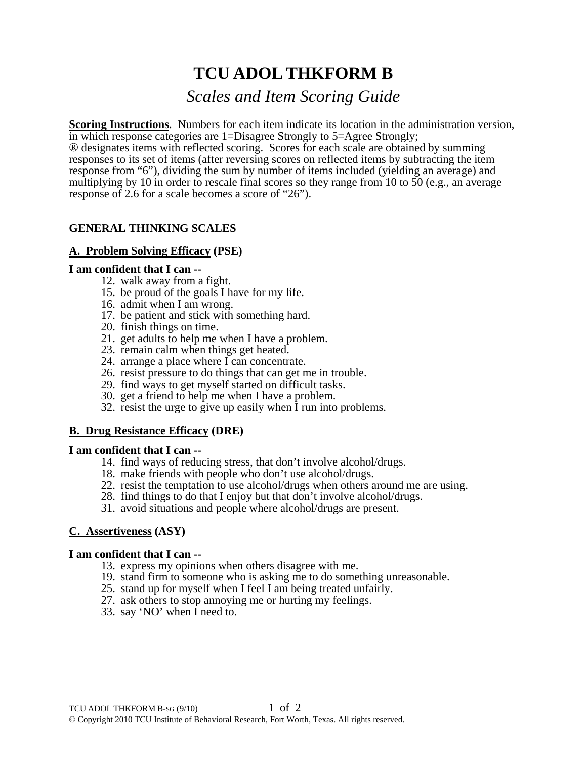# **TCU ADOL THKFORM B**

# *Scales and Item Scoring Guide*

**Scoring Instructions**. Numbers for each item indicate its location in the administration version, in which response categories are 1=Disagree Strongly to 5=Agree Strongly;

® designates items with reflected scoring. Scores for each scale are obtained by summing responses to its set of items (after reversing scores on reflected items by subtracting the item response from "6"), dividing the sum by number of items included (yielding an average) and multiplying by 10 in order to rescale final scores so they range from 10 to 50 (e.g., an average response of 2.6 for a scale becomes a score of "26").

# **GENERAL THINKING SCALES**

# **A. Problem Solving Efficacy (PSE)**

#### **I am confident that I can --**

- 12. walk away from a fight.
- 15. be proud of the goals I have for my life.
- 16. admit when I am wrong.
- 17. be patient and stick with something hard.
- 20. finish things on time.
- 21. get adults to help me when I have a problem.
- 23. remain calm when things get heated.
- 24. arrange a place where I can concentrate.
- 26. resist pressure to do things that can get me in trouble.
- 29. find ways to get myself started on difficult tasks.
- 30. get a friend to help me when I have a problem.
- 32. resist the urge to give up easily when I run into problems.

# **B. Drug Resistance Efficacy (DRE)**

#### **I am confident that I can --**

- 14. find ways of reducing stress, that don't involve alcohol/drugs.
- 18. make friends with people who don't use alcohol/drugs.
- 22. resist the temptation to use alcohol/drugs when others around me are using.
- 28. find things to do that I enjoy but that don't involve alcohol/drugs.
- 31. avoid situations and people where alcohol/drugs are present.

# **C. Assertiveness (ASY)**

#### **I am confident that I can --**

- 13. express my opinions when others disagree with me.
- 19. stand firm to someone who is asking me to do something unreasonable.
- 25. stand up for myself when I feel I am being treated unfairly.
- 27. ask others to stop annoying me or hurting my feelings.
- 33. say 'NO' when I need to.